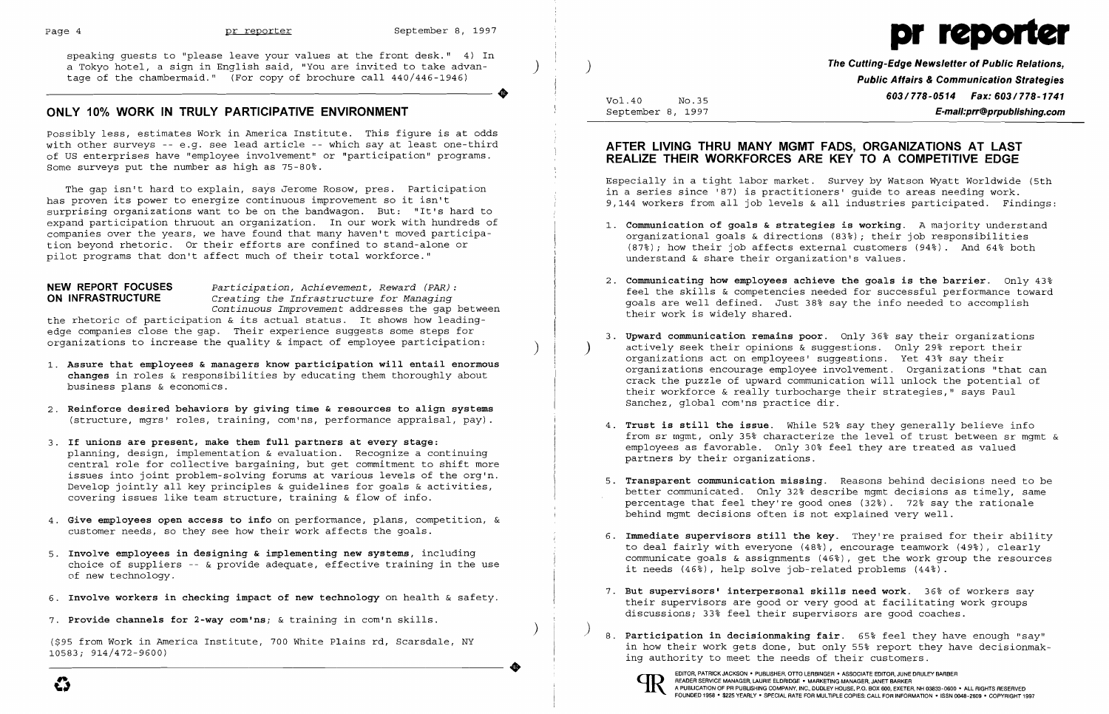

speaking guests to "please leave your values at the front desk." 4) In a Tokyo hotel, a sign in English said, "You are invited to take advan- ) ) ) **The Cutting-Edge Newsletter of Public Relations,** tage of the chambermaid." (For copy of brochure call 440/446-1946)

Possibly less, estimates Work in America Institute. This figure is at odds with other surveys -- e.g. see lead article -- which say at least one-third of US enterprises have "employee involvement" or "participation" programs. Some surveys put the number as high as  $75-80$ .

# **ONLY 10% WORK IN TRULY PARTICIPATIVE ENVIRONMENT**

the rhetoric of participation & its actual status. It shows how leadingedge companies close the gap. Their experience suggests some steps for organizations to increase the quality  $\&$  impact of employee participation:

The gap isn't hard to explain, says Jerome Rosow, pres. Participation has proven its power to energize continuous improvement so it isn't surprising organizations want to be on the bandwagon. But: "It's hard to expand participation thruout an organization. In our work with hundreds of companies over the years, we have found that many haven't moved participation beyond rhetoric. Or their efforts are confined to stand-alone or pilot programs that don't affect much of their total workforce."

**NEW REPORT FOCUSES** *Participation, Achievement, Reward (PAR):*  Creating the Infrastructure for Managing *Continuous Improvement* addresses the gap between

 **Public Affairs & Communication Strategies** Vol.40 No.35 **603/778-0514 Fax: 603/778-1741**<br>September 8, 1997 **F-mail:prr@proublishing.com** September 8, 1997 **E-mail:prr@prpublishing.com** 

actively seek their opinions & suggestions. Only 29% report their organizations encourage employee involvement. Organizations "that can crack the puzzle of upward communication will unlock the potential of their workforce & really turbocharge their strategies," says Paul

- 1. **Assure that employees & managers know participation will entail enormous changes** in roles & responsibilities by educating them thoroughly about business plans & economics.
- 2. **Reinforce desired behaviors by giving time & resources to align systems**  (structure, mgrs' roles, training, com'ns, performance appraisal, pay).
- 3. **If unions are present, make them full partners at every stage:**  planning, design, implementation & evaluation. Recognize a continuing central role for collective bargaining, but get commitment to shift more issues into joint problem-solving forums at various levels of the org'n. Develop jointly all key principles & guidelines for goals & activities, covering issues like team structure, training & flow of info.
- 4. **Give employees open access to info** on performance, plans, competition, & customer needs, so they see how their work affects the goals.
- 5. **Involve employees in designing & implementing new systems,** including choice of suppliers  $-$  & provide adequate, effective training in the use of new technology.
- 6. **Involve workers in checking impact of new technology** on health & safety.
- 7. **Provide channels for 2-way com'ns;** & training in com'n skills.

)

(\$95 from Work in America Institute, 700 White Plains rd, Scarsdale, NY 10583; 914/472-9600)

..



## **AFTER LIVING THRU MANY MGMT FADS, ORGANIZATIONS AT LAST REALIZE THEIR WORKFORCES ARE KEY TO A COMPETITIVE EDGE**

Especially in a tight labor market. Survey by Watson Wyatt Worldwide (5th in a series since '87) is practitioners' guide to areas needing work. 9,144 workers from all job levels & all industries participated. Findings:

organizational goals & directions (83%); their job responsibilities (87%); how their job affects external customers (94%). And 64% both

feel the skills & competencies needed for successful performance toward goals are well defined. Just 38% say the info needed to accomplish

- 1. **Communication of goals & strategies is working.** A majority understand understand & share their organization's values.
- 2. **Communicating how employees achieve the goals is the barrier.** Only 43% their work is widely shared.
- 3. **Upward communication remains poor.** Only 36% say their organizations organizations act on employees' suggestions. Yet 43% say their Sanchez, global com'ns practice dir.
- 4. **Trust is still the issue.** While 52% say they generally believe info partners by their organizations.
- behind mgmt decisions often is not explained very well.
- 6. **Immediate supervisors still the key.** They're praised for their ability it needs (46%), help solve job-related problems (44%).
- 7. **But supervisors' interpersonal skills need work.** 36% of workers say discussions; 33% feel their supervisors are good coaches.
- ) 8. **Participation in decisionmaking fair.** 65% feel they have enough "say" ing authority to meet the needs of their customers .



from sr rngmt, only 35% characterize the level of trust between sr mgmt & employees as favorable. Only 30% feel they are treated as valued

5. **Transparent communication missing.** Reasons behind decisions need to be better communicated. Only 32% describe mgmt decisions as timely, same percentage that feel they're good ones (32%). 72% say the rationale

to deal fairly with everyone (48%), encourage teamwork (49%), clearly communicate goals & assignments (46%), get the work group the resources

their supervisors are good or very good at facilitating work groups

in how their work gets done, but only 55% report they have decisionmak-